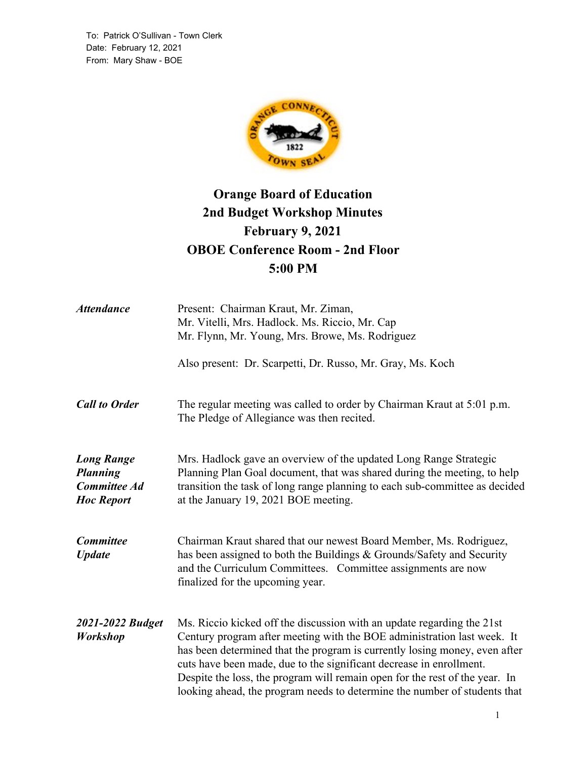To: Patrick O'Sullivan - Town Clerk Date: February 12, 2021 From: Mary Shaw - BOE



# **Orange Board of Education 2nd Budget Workshop Minutes February 9, 2021 OBOE Conference Room - 2nd Floor 5:00 PM**

| <b>Attendance</b>                                                                | Present: Chairman Kraut, Mr. Ziman,<br>Mr. Vitelli, Mrs. Hadlock. Ms. Riccio, Mr. Cap<br>Mr. Flynn, Mr. Young, Mrs. Browe, Ms. Rodriguez                                                                                                                                                                                                                                                                                                                           |
|----------------------------------------------------------------------------------|--------------------------------------------------------------------------------------------------------------------------------------------------------------------------------------------------------------------------------------------------------------------------------------------------------------------------------------------------------------------------------------------------------------------------------------------------------------------|
|                                                                                  | Also present: Dr. Scarpetti, Dr. Russo, Mr. Gray, Ms. Koch                                                                                                                                                                                                                                                                                                                                                                                                         |
| <b>Call to Order</b>                                                             | The regular meeting was called to order by Chairman Kraut at 5:01 p.m.<br>The Pledge of Allegiance was then recited.                                                                                                                                                                                                                                                                                                                                               |
| <b>Long Range</b><br><b>Planning</b><br><b>Committee Ad</b><br><b>Hoc Report</b> | Mrs. Hadlock gave an overview of the updated Long Range Strategic<br>Planning Plan Goal document, that was shared during the meeting, to help<br>transition the task of long range planning to each sub-committee as decided<br>at the January 19, 2021 BOE meeting.                                                                                                                                                                                               |
| <b>Committee</b><br><b>Update</b>                                                | Chairman Kraut shared that our newest Board Member, Ms. Rodriguez,<br>has been assigned to both the Buildings & Grounds/Safety and Security<br>and the Curriculum Committees. Committee assignments are now<br>finalized for the upcoming year.                                                                                                                                                                                                                    |
| 2021-2022 Budget<br>Workshop                                                     | Ms. Riccio kicked off the discussion with an update regarding the 21st<br>Century program after meeting with the BOE administration last week. It<br>has been determined that the program is currently losing money, even after<br>cuts have been made, due to the significant decrease in enrollment.<br>Despite the loss, the program will remain open for the rest of the year. In<br>looking ahead, the program needs to determine the number of students that |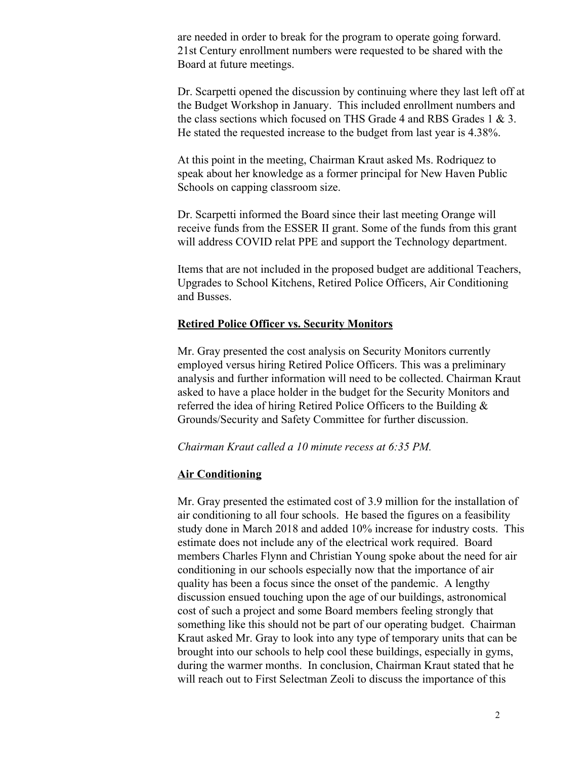are needed in order to break for the program to operate going forward. 21st Century enrollment numbers were requested to be shared with the Board at future meetings.

Dr. Scarpetti opened the discussion by continuing where they last left off at the Budget Workshop in January. This included enrollment numbers and the class sections which focused on THS Grade 4 and RBS Grades 1 & 3. He stated the requested increase to the budget from last year is 4.38%.

At this point in the meeting, Chairman Kraut asked Ms. Rodriquez to speak about her knowledge as a former principal for New Haven Public Schools on capping classroom size.

Dr. Scarpetti informed the Board since their last meeting Orange will receive funds from the ESSER II grant. Some of the funds from this grant will address COVID relat PPE and support the Technology department.

Items that are not included in the proposed budget are additional Teachers, Upgrades to School Kitchens, Retired Police Officers, Air Conditioning and Busses.

## **Retired Police Officer vs. Security Monitors**

Mr. Gray presented the cost analysis on Security Monitors currently employed versus hiring Retired Police Officers. This was a preliminary analysis and further information will need to be collected. Chairman Kraut asked to have a place holder in the budget for the Security Monitors and referred the idea of hiring Retired Police Officers to the Building & Grounds/Security and Safety Committee for further discussion.

*Chairman Kraut called a 10 minute recess at 6:35 PM.*

#### **Air Conditioning**

Mr. Gray presented the estimated cost of 3.9 million for the installation of air conditioning to all four schools. He based the figures on a feasibility study done in March 2018 and added 10% increase for industry costs. This estimate does not include any of the electrical work required. Board members Charles Flynn and Christian Young spoke about the need for air conditioning in our schools especially now that the importance of air quality has been a focus since the onset of the pandemic. A lengthy discussion ensued touching upon the age of our buildings, astronomical cost of such a project and some Board members feeling strongly that something like this should not be part of our operating budget. Chairman Kraut asked Mr. Gray to look into any type of temporary units that can be brought into our schools to help cool these buildings, especially in gyms, during the warmer months. In conclusion, Chairman Kraut stated that he will reach out to First Selectman Zeoli to discuss the importance of this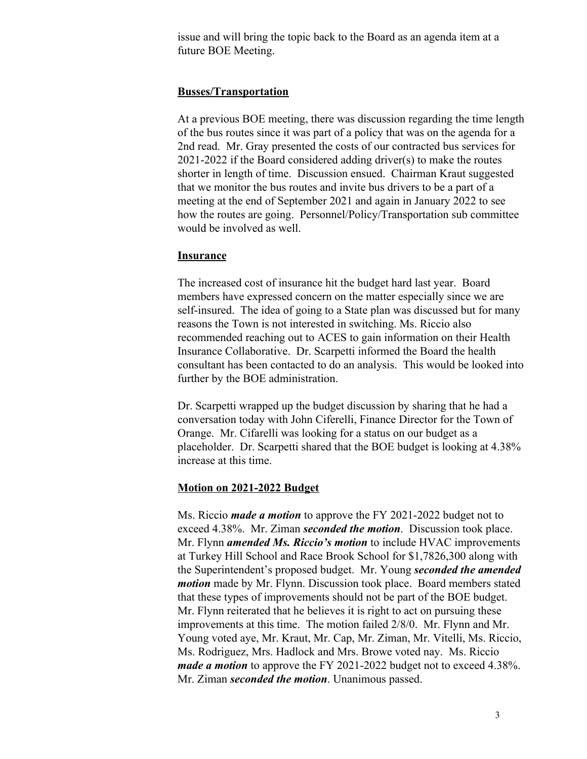issue and will bring the topic back to the Board as an agenda item at a future BOE Meeting.

## **Busses/Transportation**

At a previous BOE meeting, there was discussion regarding the time length of the bus routes since it was part of a policy that was on the agenda for a 2nd read. Mr. Gray presented the costs of our contracted bus services for 2021-2022 if the Board considered adding driver(s) to make the routes shorter in length of time. Discussion ensued. Chairman Kraut suggested that we monitor the bus routes and invite bus drivers to be a part of a meeting at the end of September 2021 and again in January 2022 to see how the routes are going. Personnel/Policy/Transportation sub committee would be involved as well.

## **Insurance**

The increased cost of insurance hit the budget hard last year. Board members have expressed concern on the matter especially since we are self-insured. The idea of going to a State plan was discussed but for many reasons the Town is not interested in switching. Ms. Riccio also recommended reaching out to ACES to gain information on their Health Insurance Collaborative. Dr. Scarpetti informed the Board the health consultant has been contacted to do an analysis. This would be looked into further by the BOE administration.

Dr. Scarpetti wrapped up the budget discussion by sharing that he had a conversation today with John Ciferelli, Finance Director for the Town of Orange. Mr. Cifarelli was looking for a status on our budget as a placeholder. Dr. Scarpetti shared that the BOE budget is looking at 4.38% increase at this time.

## **Motion on 2021-2022 Budget**

Ms. Riccio *made a motion* to approve the FY 2021-2022 budget not to exceed 4.38%. Mr. Ziman *seconded the motion*. Discussion took place. Mr. Flynn *amended Ms. Riccio's motion* to include HVAC improvements at Turkey Hill School and Race Brook School for \$1,7826,300 along with the Superintendent's proposed budget. Mr. Young *seconded the amended motion* made by Mr. Flynn. Discussion took place. Board members stated that these types of improvements should not be part of the BOE budget. Mr. Flynn reiterated that he believes it is right to act on pursuing these improvements at this time. The motion failed 2/8/0. Mr. Flynn and Mr. Young voted aye, Mr. Kraut, Mr. Cap, Mr. Ziman, Mr. Vitelli, Ms. Riccio, Ms. Rodriguez, Mrs. Hadlock and Mrs. Browe voted nay. Ms. Riccio *made a motion* to approve the FY 2021-2022 budget not to exceed 4.38%. Mr. Ziman *seconded the motion*. Unanimous passed.